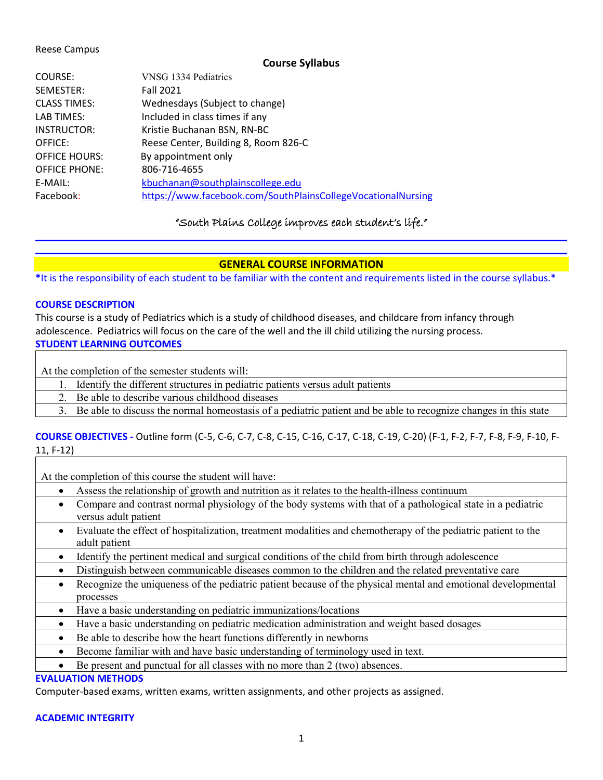#### Reese Campus

### **Course Syllabus**

| COURSE:              | VNSG 1334 Pediatrics                                         |
|----------------------|--------------------------------------------------------------|
| SEMESTER:            | <b>Fall 2021</b>                                             |
| <b>CLASS TIMES:</b>  | Wednesdays (Subject to change)                               |
| LAB TIMES:           | Included in class times if any                               |
| INSTRUCTOR:          | Kristie Buchanan BSN, RN-BC                                  |
| OFFICE:              | Reese Center, Building 8, Room 826-C                         |
| <b>OFFICE HOURS:</b> | By appointment only                                          |
| <b>OFFICE PHONE:</b> | 806-716-4655                                                 |
| E-MAIL:              | kbuchanan@southplainscollege.edu                             |
| Facebook:            | https://www.facebook.com/SouthPlainsCollegeVocationalNursing |

# "South Plains College improves each student's life."

# **GENERAL COURSE INFORMATION**

**\***It is the responsibility of each student to be familiar with the content and requirements listed in the course syllabus.\*

#### **COURSE DESCRIPTION**

This course is a study of Pediatrics which is a study of childhood diseases, and childcare from infancy through adolescence. Pediatrics will focus on the care of the well and the ill child utilizing the nursing process. **STUDENT LEARNING OUTCOMES**

At the completion of the semester students will:

- 1. Identify the different structures in pediatric patients versus adult patients
- 2. Be able to describe various childhood diseases

3. Be able to discuss the normal homeostasis of a pediatric patient and be able to recognize changes in this state

# **COURSE OBJECTIVES -** Outline form (C-5, C-6, C-7, C-8, C-15, C-16, C-17, C-18, C-19, C-20) (F-1, F-2, F-7, F-8, F-9, F-10, F-11, F-12)

At the completion of this course the student will have:

- Assess the relationship of growth and nutrition as it relates to the health-illness continuum
- Compare and contrast normal physiology of the body systems with that of a pathological state in a pediatric versus adult patient
- Evaluate the effect of hospitalization, treatment modalities and chemotherapy of the pediatric patient to the adult patient
- Identify the pertinent medical and surgical conditions of the child from birth through adolescence
- Distinguish between communicable diseases common to the children and the related preventative care
- Recognize the uniqueness of the pediatric patient because of the physical mental and emotional developmental processes
- Have a basic understanding on pediatric immunizations/locations
- Have a basic understanding on pediatric medication administration and weight based dosages
- Be able to describe how the heart functions differently in newborns
- Become familiar with and have basic understanding of terminology used in text.
- Be present and punctual for all classes with no more than 2 (two) absences.

# **EVALUATION METHODS**

Computer-based exams, written exams, written assignments, and other projects as assigned.

### **ACADEMIC INTEGRITY**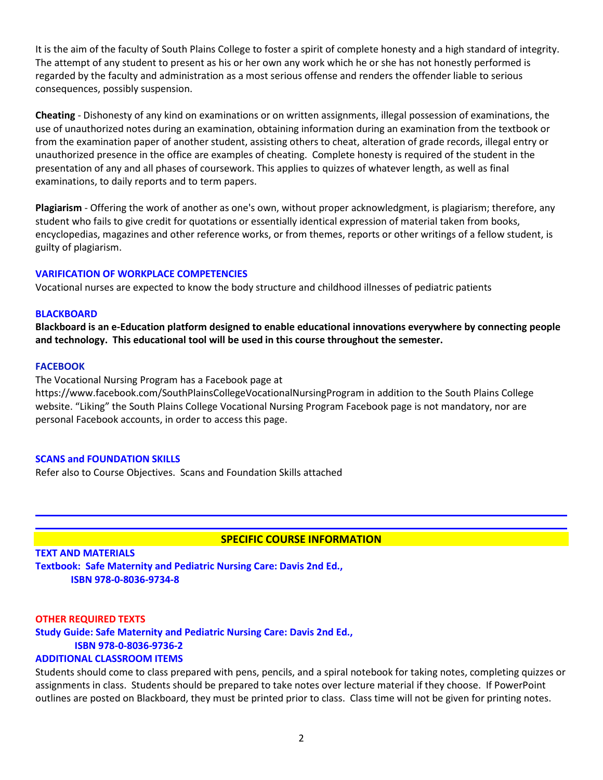It is the aim of the faculty of South Plains College to foster a spirit of complete honesty and a high standard of integrity. The attempt of any student to present as his or her own any work which he or she has not honestly performed is regarded by the faculty and administration as a most serious offense and renders the offender liable to serious consequences, possibly suspension.

**Cheating** - Dishonesty of any kind on examinations or on written assignments, illegal possession of examinations, the use of unauthorized notes during an examination, obtaining information during an examination from the textbook or from the examination paper of another student, assisting others to cheat, alteration of grade records, illegal entry or unauthorized presence in the office are examples of cheating. Complete honesty is required of the student in the presentation of any and all phases of coursework. This applies to quizzes of whatever length, as well as final examinations, to daily reports and to term papers.

**Plagiarism** - Offering the work of another as one's own, without proper acknowledgment, is plagiarism; therefore, any student who fails to give credit for quotations or essentially identical expression of material taken from books, encyclopedias, magazines and other reference works, or from themes, reports or other writings of a fellow student, is guilty of plagiarism.

#### **VARIFICATION OF WORKPLACE COMPETENCIES**

Vocational nurses are expected to know the body structure and childhood illnesses of pediatric patients

#### **BLACKBOARD**

**Blackboard is an e-Education platform designed to enable educational innovations everywhere by connecting people and technology. This educational tool will be used in this course throughout the semester.** 

#### **FACEBOOK**

The Vocational Nursing Program has a Facebook page at https://www.facebook.com/SouthPlainsCollegeVocationalNursingProgram in addition to the South Plains College website. "Liking" the South Plains College Vocational Nursing Program Facebook page is not mandatory, nor are personal Facebook accounts, in order to access this page.

#### **SCANS and FOUNDATION SKILLS**

Refer also to Course Objectives. Scans and Foundation Skills attached

# **SPECIFIC COURSE INFORMATION**

**TEXT AND MATERIALS Textbook: Safe Maternity and Pediatric Nursing Care: Davis 2nd Ed., ISBN 978-0-8036-9734-8**

#### **OTHER REQUIRED TEXTS**

**Study Guide: Safe Maternity and Pediatric Nursing Care: Davis 2nd Ed., ISBN 978-0-8036-9736-2**

#### **ADDITIONAL CLASSROOM ITEMS**

Students should come to class prepared with pens, pencils, and a spiral notebook for taking notes, completing quizzes or assignments in class. Students should be prepared to take notes over lecture material if they choose. If PowerPoint outlines are posted on Blackboard, they must be printed prior to class. Class time will not be given for printing notes.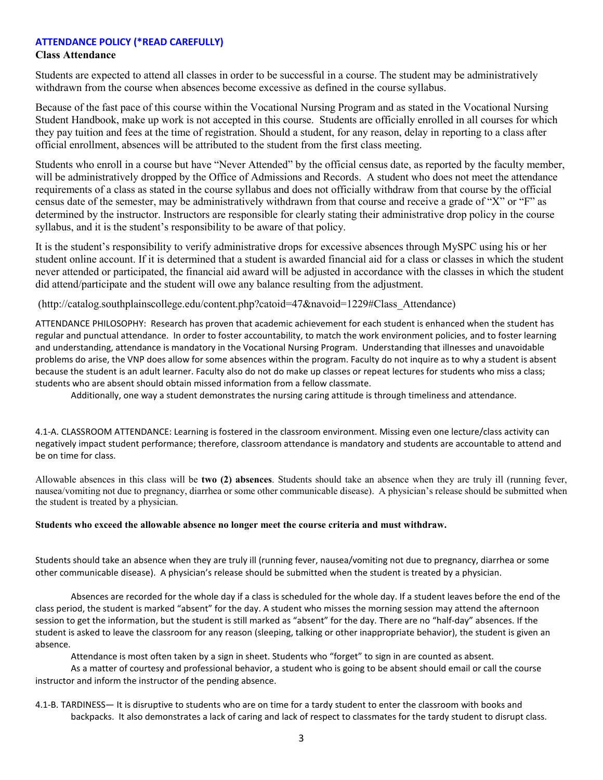#### **ATTENDANCE POLICY (\*READ CAREFULLY)**

#### **Class Attendance**

Students are expected to attend all classes in order to be successful in a course. The student may be administratively withdrawn from the course when absences become excessive as defined in the course syllabus.

Because of the fast pace of this course within the Vocational Nursing Program and as stated in the Vocational Nursing Student Handbook, make up work is not accepted in this course. Students are officially enrolled in all courses for which they pay tuition and fees at the time of registration. Should a student, for any reason, delay in reporting to a class after official enrollment, absences will be attributed to the student from the first class meeting.

Students who enroll in a course but have "Never Attended" by the official census date, as reported by the faculty member, will be administratively dropped by the Office of Admissions and Records. A student who does not meet the attendance requirements of a class as stated in the course syllabus and does not officially withdraw from that course by the official census date of the semester, may be administratively withdrawn from that course and receive a grade of "X" or "F" as determined by the instructor. Instructors are responsible for clearly stating their administrative drop policy in the course syllabus, and it is the student's responsibility to be aware of that policy.

It is the student's responsibility to verify administrative drops for excessive absences through MySPC using his or her student online account. If it is determined that a student is awarded financial aid for a class or classes in which the student never attended or participated, the financial aid award will be adjusted in accordance with the classes in which the student did attend/participate and the student will owe any balance resulting from the adjustment.

(http://catalog.southplainscollege.edu/content.php?catoid=47&navoid=1229#Class\_Attendance)

ATTENDANCE PHILOSOPHY: Research has proven that academic achievement for each student is enhanced when the student has regular and punctual attendance. In order to foster accountability, to match the work environment policies, and to foster learning and understanding, attendance is mandatory in the Vocational Nursing Program. Understanding that illnesses and unavoidable problems do arise, the VNP does allow for some absences within the program. Faculty do not inquire as to why a student is absent because the student is an adult learner. Faculty also do not do make up classes or repeat lectures for students who miss a class; students who are absent should obtain missed information from a fellow classmate.

Additionally, one way a student demonstrates the nursing caring attitude is through timeliness and attendance.

4.1-A. CLASSROOM ATTENDANCE: Learning is fostered in the classroom environment. Missing even one lecture/class activity can negatively impact student performance; therefore, classroom attendance is mandatory and students are accountable to attend and be on time for class.

Allowable absences in this class will be **two (2) absences**. Students should take an absence when they are truly ill (running fever, nausea/vomiting not due to pregnancy, diarrhea or some other communicable disease). A physician's release should be submitted when the student is treated by a physician.

#### **Students who exceed the allowable absence no longer meet the course criteria and must withdraw.**

Students should take an absence when they are truly ill (running fever, nausea/vomiting not due to pregnancy, diarrhea or some other communicable disease). A physician's release should be submitted when the student is treated by a physician.

Absences are recorded for the whole day if a class is scheduled for the whole day. If a student leaves before the end of the class period, the student is marked "absent" for the day. A student who misses the morning session may attend the afternoon session to get the information, but the student is still marked as "absent" for the day. There are no "half-day" absences. If the student is asked to leave the classroom for any reason (sleeping, talking or other inappropriate behavior), the student is given an absence.

Attendance is most often taken by a sign in sheet. Students who "forget" to sign in are counted as absent.

As a matter of courtesy and professional behavior, a student who is going to be absent should email or call the course instructor and inform the instructor of the pending absence.

4.1-B. TARDINESS— It is disruptive to students who are on time for a tardy student to enter the classroom with books and backpacks. It also demonstrates a lack of caring and lack of respect to classmates for the tardy student to disrupt class.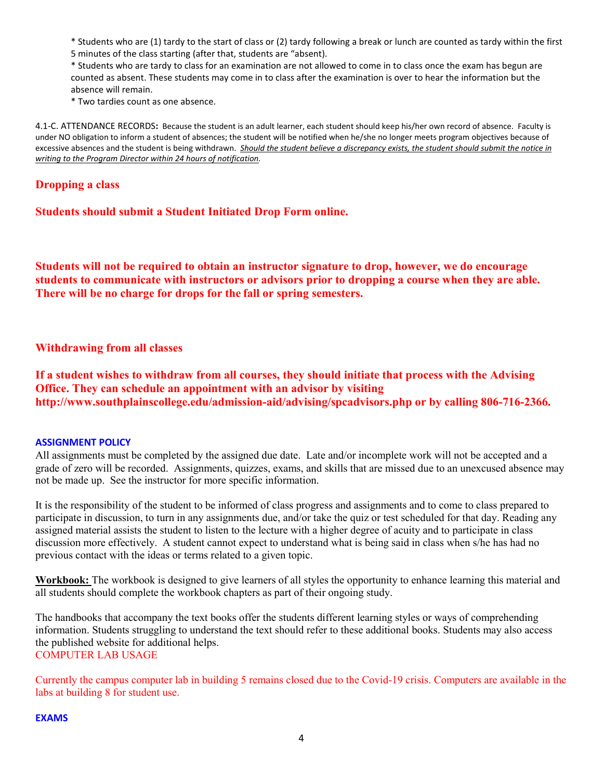\* Students who are (1) tardy to the start of class or (2) tardy following a break or lunch are counted as tardy within the first 5 minutes of the class starting (after that, students are "absent).

\* Students who are tardy to class for an examination are not allowed to come in to class once the exam has begun are counted as absent. These students may come in to class after the examination is over to hear the information but the absence will remain.

\* Two tardies count as one absence.

4.1-C. ATTENDANCE RECORDS**:** Because the student is an adult learner, each student should keep his/her own record of absence. Faculty is under NO obligation to inform a student of absences; the student will be notified when he/she no longer meets program objectives because of excessive absences and the student is being withdrawn. *Should the student believe a discrepancy exists, the student should submit the notice in writing to the Program Director within 24 hours of notification.*

# **Dropping a class**

**Students should submit a Student Initiated Drop Form online.** 

**Students will not be required to obtain an instructor signature to drop, however, we do encourage students to communicate with instructors or advisors prior to dropping a course when they are able. There will be no charge for drops for the fall or spring semesters.** 

## **Withdrawing from all classes**

**If a student wishes to withdraw from all courses, they should initiate that process with the Advising Office. They can schedule an appointment with an advisor by visiting http://www.southplainscollege.edu/admission-aid/advising/spcadvisors.php or by calling 806-716-2366.** 

#### **ASSIGNMENT POLICY**

All assignments must be completed by the assigned due date. Late and/or incomplete work will not be accepted and a grade of zero will be recorded. Assignments, quizzes, exams, and skills that are missed due to an unexcused absence may not be made up. See the instructor for more specific information.

It is the responsibility of the student to be informed of class progress and assignments and to come to class prepared to participate in discussion, to turn in any assignments due, and/or take the quiz or test scheduled for that day. Reading any assigned material assists the student to listen to the lecture with a higher degree of acuity and to participate in class discussion more effectively. A student cannot expect to understand what is being said in class when s/he has had no previous contact with the ideas or terms related to a given topic.

**Workbook:** The workbook is designed to give learners of all styles the opportunity to enhance learning this material and all students should complete the workbook chapters as part of their ongoing study.

The handbooks that accompany the text books offer the students different learning styles or ways of comprehending information. Students struggling to understand the text should refer to these additional books. Students may also access the published website for additional helps. COMPUTER LAB USAGE

Currently the campus computer lab in building 5 remains closed due to the Covid-19 crisis. Computers are available in the labs at building 8 for student use.

#### **EXAMS**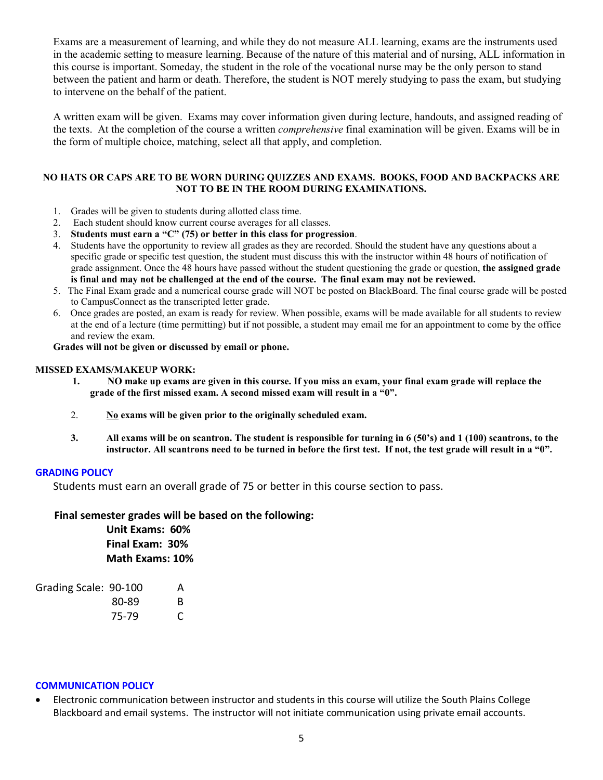Exams are a measurement of learning, and while they do not measure ALL learning, exams are the instruments used in the academic setting to measure learning. Because of the nature of this material and of nursing, ALL information in this course is important. Someday, the student in the role of the vocational nurse may be the only person to stand between the patient and harm or death. Therefore, the student is NOT merely studying to pass the exam, but studying to intervene on the behalf of the patient.

A written exam will be given. Exams may cover information given during lecture, handouts, and assigned reading of the texts. At the completion of the course a written *comprehensive* final examination will be given. Exams will be in the form of multiple choice, matching, select all that apply, and completion.

#### **NO HATS OR CAPS ARE TO BE WORN DURING QUIZZES AND EXAMS. BOOKS, FOOD AND BACKPACKS ARE NOT TO BE IN THE ROOM DURING EXAMINATIONS.**

- 1. Grades will be given to students during allotted class time.
- 2. Each student should know current course averages for all classes.
- 3. **Students must earn a "C" (75) or better in this class for progression**.
- 4. Students have the opportunity to review all grades as they are recorded. Should the student have any questions about a specific grade or specific test question, the student must discuss this with the instructor within 48 hours of notification of grade assignment. Once the 48 hours have passed without the student questioning the grade or question, **the assigned grade is final and may not be challenged at the end of the course. The final exam may not be reviewed.**
- 5. The Final Exam grade and a numerical course grade will NOT be posted on BlackBoard. The final course grade will be posted to CampusConnect as the transcripted letter grade.
- 6. Once grades are posted, an exam is ready for review. When possible, exams will be made available for all students to review at the end of a lecture (time permitting) but if not possible, a student may email me for an appointment to come by the office and review the exam.

**Grades will not be given or discussed by email or phone.**

#### **MISSED EXAMS/MAKEUP WORK:**

- **1. NO make up exams are given in this course. If you miss an exam, your final exam grade will replace the grade of the first missed exam. A second missed exam will result in a "0".**
- 2. **No exams will be given prior to the originally scheduled exam.**
- **3. All exams will be on scantron. The student is responsible for turning in 6 (50's) and 1 (100) scantrons, to the instructor. All scantrons need to be turned in before the first test. If not, the test grade will result in a "0".**

#### **GRADING POLICY**

Students must earn an overall grade of 75 or better in this course section to pass.

#### **Final semester grades will be based on the following:**

**Unit Exams: 60% Final Exam: 30% Math Exams: 10%**

| Grading Scale: 90-100 |       | А  |
|-----------------------|-------|----|
|                       | 80-89 | B. |
|                       | 75-79 | C  |

#### **COMMUNICATION POLICY**

• Electronic communication between instructor and students in this course will utilize the South Plains College Blackboard and email systems. The instructor will not initiate communication using private email accounts.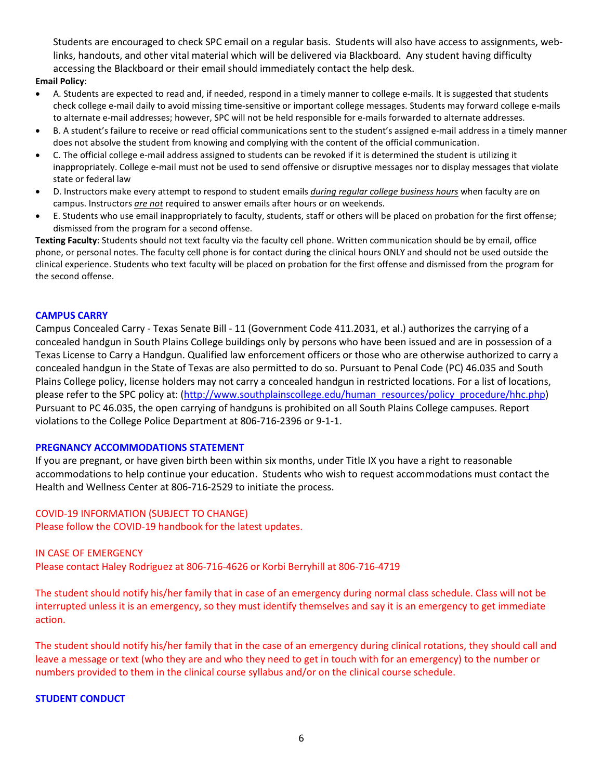Students are encouraged to check SPC email on a regular basis. Students will also have access to assignments, weblinks, handouts, and other vital material which will be delivered via Blackboard. Any student having difficulty accessing the Blackboard or their email should immediately contact the help desk.

#### **Email Policy**:

- A. Students are expected to read and, if needed, respond in a timely manner to college e-mails. It is suggested that students check college e-mail daily to avoid missing time-sensitive or important college messages. Students may forward college e-mails to alternate e-mail addresses; however, SPC will not be held responsible for e-mails forwarded to alternate addresses.
- B. A student's failure to receive or read official communications sent to the student's assigned e-mail address in a timely manner does not absolve the student from knowing and complying with the content of the official communication.
- C. The official college e-mail address assigned to students can be revoked if it is determined the student is utilizing it inappropriately. College e-mail must not be used to send offensive or disruptive messages nor to display messages that violate state or federal law
- D. Instructors make every attempt to respond to student emails *during regular college business hours* when faculty are on campus. Instructors *are not* required to answer emails after hours or on weekends.
- E. Students who use email inappropriately to faculty, students, staff or others will be placed on probation for the first offense; dismissed from the program for a second offense.

**Texting Faculty**: Students should not text faculty via the faculty cell phone. Written communication should be by email, office phone, or personal notes. The faculty cell phone is for contact during the clinical hours ONLY and should not be used outside the clinical experience. Students who text faculty will be placed on probation for the first offense and dismissed from the program for the second offense.

#### **CAMPUS CARRY**

Campus Concealed Carry - Texas Senate Bill - 11 (Government Code 411.2031, et al.) authorizes the carrying of a concealed handgun in South Plains College buildings only by persons who have been issued and are in possession of a Texas License to Carry a Handgun. Qualified law enforcement officers or those who are otherwise authorized to carry a concealed handgun in the State of Texas are also permitted to do so. Pursuant to Penal Code (PC) 46.035 and South Plains College policy, license holders may not carry a concealed handgun in restricted locations. For a list of locations, please refer to the SPC policy at: [\(http://www.southplainscollege.edu/human\\_resources/policy\\_procedure/hhc.php\)](http://www.southplainscollege.edu/human_resources/policy_procedure/hhc.php) Pursuant to PC 46.035, the open carrying of handguns is prohibited on all South Plains College campuses. Report violations to the College Police Department at 806-716-2396 or 9-1-1.

#### **PREGNANCY ACCOMMODATIONS STATEMENT**

If you are pregnant, or have given birth been within six months, under Title IX you have a right to reasonable accommodations to help continue your education. Students who wish to request accommodations must contact the Health and Wellness Center at 806-716-2529 to initiate the process.

#### COVID-19 INFORMATION (SUBJECT TO CHANGE)

Please follow the COVID-19 handbook for the latest updates.

#### IN CASE OF EMERGENCY

Please contact Haley Rodriguez at 806-716-4626 or Korbi Berryhill at 806-716-4719

The student should notify his/her family that in case of an emergency during normal class schedule. Class will not be interrupted unless it is an emergency, so they must identify themselves and say it is an emergency to get immediate action.

The student should notify his/her family that in the case of an emergency during clinical rotations, they should call and leave a message or text (who they are and who they need to get in touch with for an emergency) to the number or numbers provided to them in the clinical course syllabus and/or on the clinical course schedule.

### **STUDENT CONDUCT**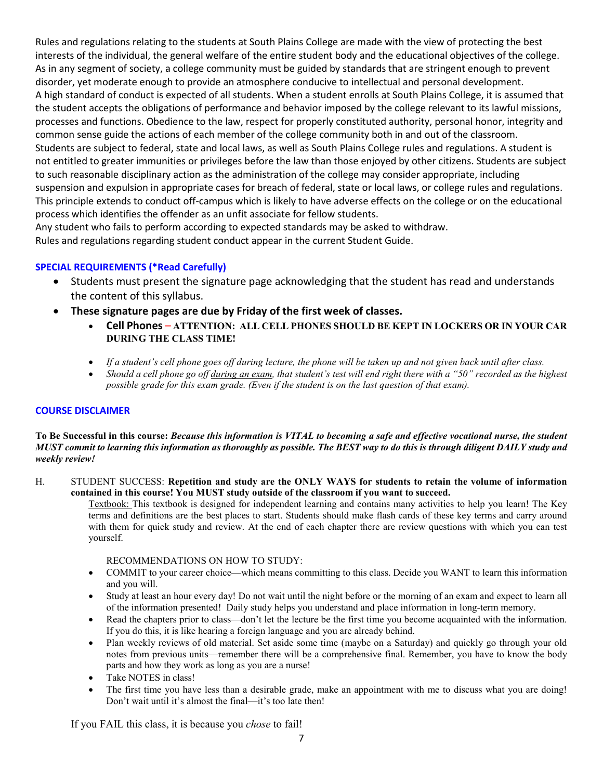Rules and regulations relating to the students at South Plains College are made with the view of protecting the best interests of the individual, the general welfare of the entire student body and the educational objectives of the college. As in any segment of society, a college community must be guided by standards that are stringent enough to prevent disorder, yet moderate enough to provide an atmosphere conducive to intellectual and personal development. A high standard of conduct is expected of all students. When a student enrolls at South Plains College, it is assumed that the student accepts the obligations of performance and behavior imposed by the college relevant to its lawful missions, processes and functions. Obedience to the law, respect for properly constituted authority, personal honor, integrity and common sense guide the actions of each member of the college community both in and out of the classroom. Students are subject to federal, state and local laws, as well as South Plains College rules and regulations. A student is not entitled to greater immunities or privileges before the law than those enjoyed by other citizens. Students are subject to such reasonable disciplinary action as the administration of the college may consider appropriate, including suspension and expulsion in appropriate cases for breach of federal, state or local laws, or college rules and regulations. This principle extends to conduct off-campus which is likely to have adverse effects on the college or on the educational process which identifies the offender as an unfit associate for fellow students.

Any student who fails to perform according to expected standards may be asked to withdraw. Rules and regulations regarding student conduct appear in the current Student Guide.

### **SPECIAL REQUIREMENTS (\*Read Carefully)**

- Students must present the signature page acknowledging that the student has read and understands the content of this syllabus.
- **These signature pages are due by Friday of the first week of classes.**
	- **Cell Phones ATTENTION: ALL CELL PHONES SHOULD BE KEPT IN LOCKERS OR IN YOUR CAR DURING THE CLASS TIME!**
	- *If a student's cell phone goes off during lecture, the phone will be taken up and not given back until after class.*
	- *Should a cell phone go off during an exam, that student's test will end right there with a "50" recorded as the highest possible grade for this exam grade. (Even if the student is on the last question of that exam).*

#### **COURSE DISCLAIMER**

**To Be Successful in this course:** *Because this information is VITAL to becoming a safe and effective vocational nurse, the student MUST commit to learning this information as thoroughly as possible. The BEST way to do this is through diligent DAILY study and weekly review!*

#### H. STUDENT SUCCESS: **Repetition and study are the ONLY WAYS for students to retain the volume of information contained in this course! You MUST study outside of the classroom if you want to succeed.**

Textbook: This textbook is designed for independent learning and contains many activities to help you learn! The Key terms and definitions are the best places to start. Students should make flash cards of these key terms and carry around with them for quick study and review. At the end of each chapter there are review questions with which you can test yourself.

#### RECOMMENDATIONS ON HOW TO STUDY:

- COMMIT to your career choice—which means committing to this class. Decide you WANT to learn this information and you will.
- Study at least an hour every day! Do not wait until the night before or the morning of an exam and expect to learn all of the information presented! Daily study helps you understand and place information in long-term memory.
- Read the chapters prior to class—don't let the lecture be the first time you become acquainted with the information. If you do this, it is like hearing a foreign language and you are already behind.
- Plan weekly reviews of old material. Set aside some time (maybe on a Saturday) and quickly go through your old notes from previous units—remember there will be a comprehensive final. Remember, you have to know the body parts and how they work as long as you are a nurse!
- Take NOTES in class!
- The first time you have less than a desirable grade, make an appointment with me to discuss what you are doing! Don't wait until it's almost the final—it's too late then!

If you FAIL this class, it is because you *chose* to fail!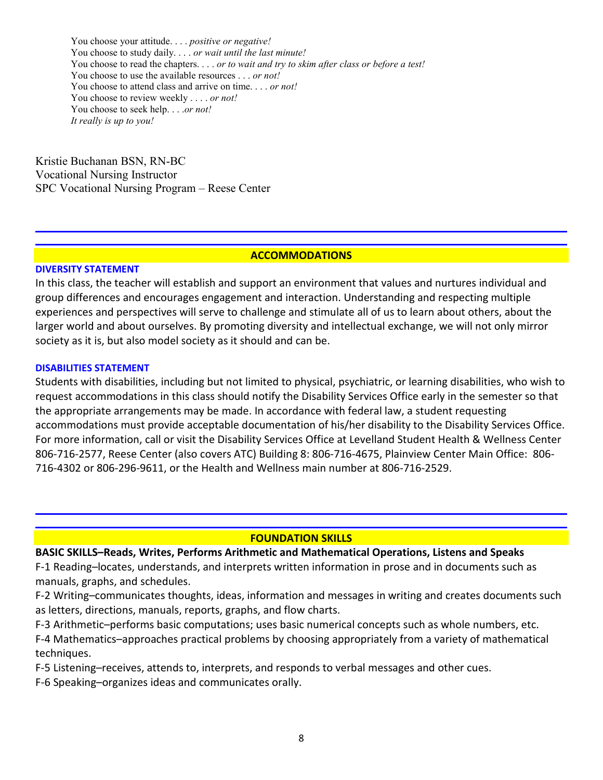You choose your attitude. . . . *positive or negative!* You choose to study daily. . . . *or wait until the last minute!* You choose to read the chapters. . . . *or to wait and try to skim after class or before a test!* You choose to use the available resources . . . *or not!* You choose to attend class and arrive on time. . . . *or not!* You choose to review weekly . . . . *or not!* You choose to seek help. . . .*or not! It really is up to you!*

Kristie Buchanan BSN, RN-BC Vocational Nursing Instructor SPC Vocational Nursing Program – Reese Center

### **ACCOMMODATIONS**

### **DIVERSITY STATEMENT**

In this class, the teacher will establish and support an environment that values and nurtures individual and group differences and encourages engagement and interaction. Understanding and respecting multiple experiences and perspectives will serve to challenge and stimulate all of us to learn about others, about the larger world and about ourselves. By promoting diversity and intellectual exchange, we will not only mirror society as it is, but also model society as it should and can be.

## **DISABILITIES STATEMENT**

Students with disabilities, including but not limited to physical, psychiatric, or learning disabilities, who wish to request accommodations in this class should notify the Disability Services Office early in the semester so that the appropriate arrangements may be made. In accordance with federal law, a student requesting accommodations must provide acceptable documentation of his/her disability to the Disability Services Office. For more information, call or visit the Disability Services Office at Levelland Student Health & Wellness Center 806-716-2577, Reese Center (also covers ATC) Building 8: 806-716-4675, Plainview Center Main Office: 806- 716-4302 or 806-296-9611, or the Health and Wellness main number at 806-716-2529.

# **FOUNDATION SKILLS**

# **BASIC SKILLS–Reads, Writes, Performs Arithmetic and Mathematical Operations, Listens and Speaks**

F-1 Reading–locates, understands, and interprets written information in prose and in documents such as manuals, graphs, and schedules.

F-2 Writing–communicates thoughts, ideas, information and messages in writing and creates documents such as letters, directions, manuals, reports, graphs, and flow charts.

F-3 Arithmetic–performs basic computations; uses basic numerical concepts such as whole numbers, etc.

F-4 Mathematics–approaches practical problems by choosing appropriately from a variety of mathematical techniques.

F-5 Listening–receives, attends to, interprets, and responds to verbal messages and other cues.

F-6 Speaking–organizes ideas and communicates orally.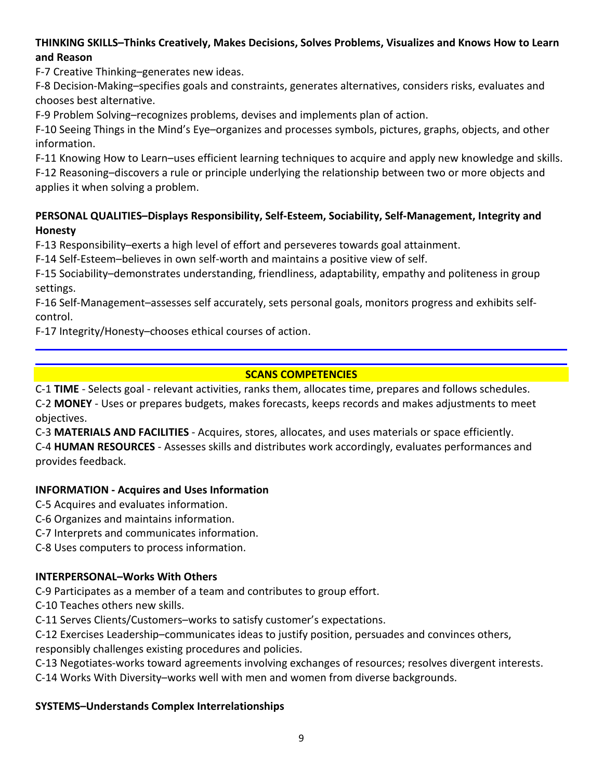# **THINKING SKILLS–Thinks Creatively, Makes Decisions, Solves Problems, Visualizes and Knows How to Learn and Reason**

F-7 Creative Thinking–generates new ideas.

F-8 Decision-Making–specifies goals and constraints, generates alternatives, considers risks, evaluates and chooses best alternative.

F-9 Problem Solving–recognizes problems, devises and implements plan of action.

F-10 Seeing Things in the Mind's Eye–organizes and processes symbols, pictures, graphs, objects, and other information.

F-11 Knowing How to Learn–uses efficient learning techniques to acquire and apply new knowledge and skills. F-12 Reasoning–discovers a rule or principle underlying the relationship between two or more objects and

applies it when solving a problem.

# **PERSONAL QUALITIES–Displays Responsibility, Self-Esteem, Sociability, Self-Management, Integrity and Honesty**

F-13 Responsibility–exerts a high level of effort and perseveres towards goal attainment.

F-14 Self-Esteem–believes in own self-worth and maintains a positive view of self.

F-15 Sociability–demonstrates understanding, friendliness, adaptability, empathy and politeness in group settings.

F-16 Self-Management–assesses self accurately, sets personal goals, monitors progress and exhibits selfcontrol.

F-17 Integrity/Honesty–chooses ethical courses of action.

# **SCANS COMPETENCIES**

C-1 **TIME** - Selects goal - relevant activities, ranks them, allocates time, prepares and follows schedules. C-2 **MONEY** - Uses or prepares budgets, makes forecasts, keeps records and makes adjustments to meet objectives.

C-3 **MATERIALS AND FACILITIES** - Acquires, stores, allocates, and uses materials or space efficiently. C-4 **HUMAN RESOURCES** - Assesses skills and distributes work accordingly, evaluates performances and provides feedback.

# **INFORMATION - Acquires and Uses Information**

C-5 Acquires and evaluates information.

C-6 Organizes and maintains information.

C-7 Interprets and communicates information.

C-8 Uses computers to process information.

# **INTERPERSONAL–Works With Others**

C-9 Participates as a member of a team and contributes to group effort.

C-10 Teaches others new skills.

C-11 Serves Clients/Customers–works to satisfy customer's expectations.

C-12 Exercises Leadership–communicates ideas to justify position, persuades and convinces others,

responsibly challenges existing procedures and policies.

C-13 Negotiates-works toward agreements involving exchanges of resources; resolves divergent interests.

C-14 Works With Diversity–works well with men and women from diverse backgrounds.

# **SYSTEMS–Understands Complex Interrelationships**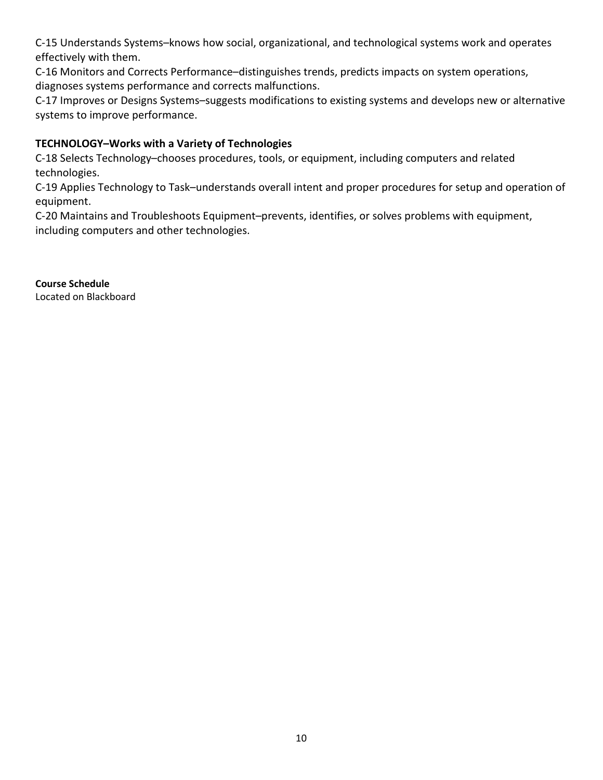C-15 Understands Systems–knows how social, organizational, and technological systems work and operates effectively with them.

C-16 Monitors and Corrects Performance–distinguishes trends, predicts impacts on system operations, diagnoses systems performance and corrects malfunctions.

C-17 Improves or Designs Systems–suggests modifications to existing systems and develops new or alternative systems to improve performance.

# **TECHNOLOGY–Works with a Variety of Technologies**

C-18 Selects Technology–chooses procedures, tools, or equipment, including computers and related technologies.

C-19 Applies Technology to Task–understands overall intent and proper procedures for setup and operation of equipment.

C-20 Maintains and Troubleshoots Equipment–prevents, identifies, or solves problems with equipment, including computers and other technologies.

**Course Schedule** Located on Blackboard